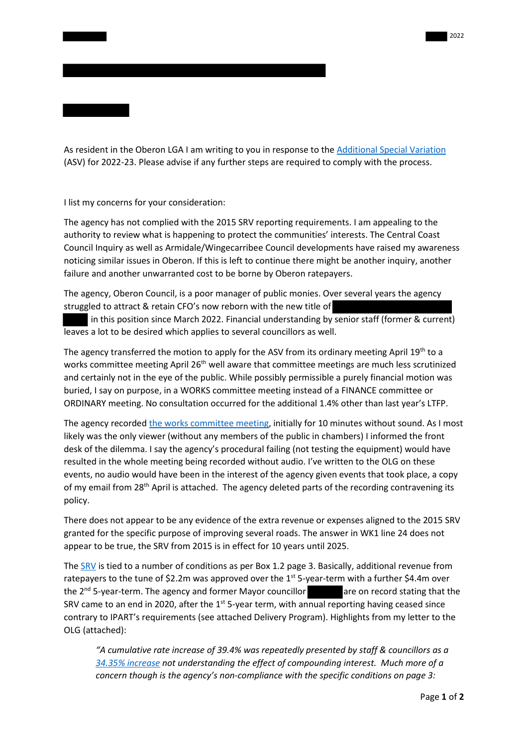As resident in the Oberon LGA I am writing to you in response to th[e Additional Special Variation](https://www.ipart.nsw.gov.au/node/1014?review_id=1714) (ASV) for 2022-23. Please advise if any further steps are required to comply with the process.

I list my concerns for your consideration:

The agency has not complied with the 2015 SRV reporting requirements. I am appealing to the authority to review what is happening to protect the communities' interests. The Central Coast Council Inquiry as well as Armidale/Wingecarribee Council developments have raised my awareness noticing similar issues in Oberon. If this is left to continue there might be another inquiry, another failure and another unwarranted cost to be borne by Oberon ratepayers.

The agency, Oberon Council, is a poor manager of public monies. Over several years the agency struggled to attract & retain CFO's now reborn with the new title of

 in this position since March 2022. Financial understanding by senior staff (former & current) leaves a lot to be desired which applies to several councillors as well.

The agency transferred the motion to apply for the ASV from its ordinary meeting April 19<sup>th</sup> to a works committee meeting April 26<sup>th</sup> well aware that committee meetings are much less scrutinized and certainly not in the eye of the public. While possibly permissible a purely financial motion was buried, I say on purpose, in a WORKS committee meeting instead of a FINANCE committee or ORDINARY meeting. No consultation occurred for the additional 1.4% other than last year's LTFP.

The agency recorded [the works committee meeting,](https://www.youtube.com/watch?v=8TCW3yt7I1M) initially for 10 minutes without sound. As I most likely was the only viewer (without any members of the public in chambers) I informed the front desk of the dilemma. I say the agency's procedural failing (not testing the equipment) would have resulted in the whole meeting being recorded without audio. I've written to the OLG on these events, no audio would have been in the interest of the agency given events that took place, a copy of my email from 28<sup>th</sup> April is attached. The agency deleted parts of the recording contravening its policy.

There does not appear to be any evidence of the extra revenue or expenses aligned to the 2015 SRV granted for the specific purpose of improving several roads. The answer in WK1 line 24 does not appear to be true, the SRV from 2015 is in effect for 10 years until 2025.

The [SRV](https://www.ipart.nsw.gov.au/sites/default/files/documents/lg_determination_-_oberon_councils_application_for_a_special_variation_for_2015-16_-_may_2015.pdf) is tied to a number of conditions as per Box 1.2 page 3. Basically, additional revenue from ratepayers to the tune of \$2.2m was approved over the  $1^{st}$  5-year-term with a further \$4.4m over the  $2^{nd}$  5-year-term. The agency and former Mayor councillor are on record stating that the SRV came to an end in 2020, after the  $1<sup>st</sup>$  5-year term, with annual reporting having ceased since contrary to IPART's requirements (see attached Delivery Program). Highlights from my letter to the OLG (attached):

*"A cumulative rate increase of 39.4% was repeatedly presented by staff & councillors as a [34.35% increase](https://www.oberonreview.com.au/story/6184461/up-they-go-oberon-residents-facing-seven-per-cent-rate-rise-in-new-budget/) not understanding the effect of compounding interest. Much more of a concern though is the agency's non-compliance with the specific conditions on page 3:*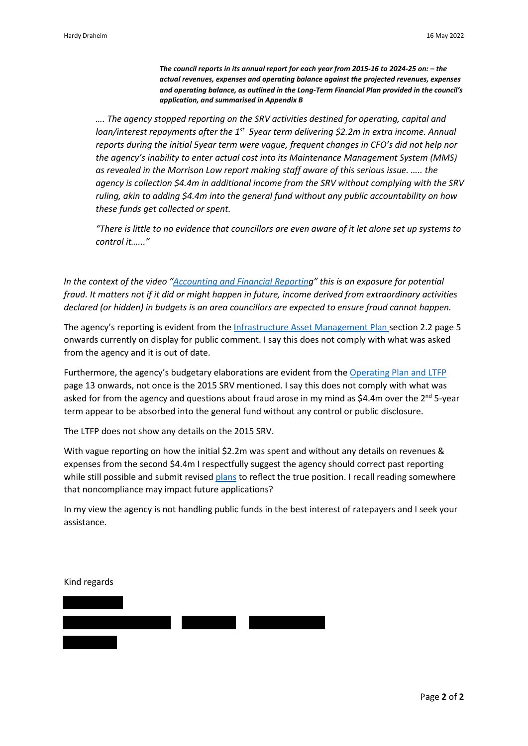*The council reports in its annual report for each year from 2015-16 to 2024-25 on: – the actual revenues, expenses and operating balance against the projected revenues, expenses and operating balance, as outlined in the Long-Term Financial Plan provided in the council's application, and summarised in Appendix B*

*…. The agency stopped reporting on the SRV activities destined for operating, capital and loan/interest repayments after the 1<sup>st</sup> 5year term delivering \$2.2m in extra income. Annual reports during the initial 5year term were vague, frequent changes in CFO's did not help nor the agency's inability to enter actual cost into its Maintenance Management System (MMS) as revealed in the Morrison Low report making staff aware of this serious issue. ….. the agency is collection \$4.4m in additional income from the SRV without complying with the SRV ruling, akin to adding \$4.4m into the general fund without any public accountability on how these funds get collected or spent.*

*"There is little to no evidence that councillors are even aware of it let alone set up systems to control it…..."*

*In the context of the video ["Accounting and Financial Reporting](https://www.youtube.com/watch?v=401LeDeVy4g)" this is an exposure for potential fraud. It matters not if it did or might happen in future, income derived from extraordinary activities declared (or hidden) in budgets is an area councillors are expected to ensure fraud cannot happen.* 

The agency's reporting is evident from th[e Infrastructure Asset Management Plan s](https://www.oberon.nsw.gov.au/sites/oberon/files/public/6a.%206b.%206c.%20%26%206d%20-%20Asset%20Management%20Plans.pdf)ection 2.2 page 5 onwards currently on display for public comment. I say this does not comply with what was asked from the agency and it is out of date.

Furthermore, the agency's budgetary elaborations are evident from th[e Operating Plan and LTFP](https://www.oberon.nsw.gov.au/sites/oberon/files/public/4a.%20%26%204b.%20-%202022-23%20OP%20and%20LTFP%20Assumptions%200.7%25%20%26%202.1%25%20Rate%20Scenarios.pdf) page 13 onwards, not once is the 2015 SRV mentioned. I say this does not comply with what was asked for from the agency and questions about fraud arose in my mind as \$4.4m over the  $2<sup>nd</sup>$  5-year term appear to be absorbed into the general fund without any control or public disclosure.

The LTFP does not show any details on the 2015 SRV.

With vague reporting on how the initial \$2.2m was spent and without any details on revenues & expenses from the second \$4.4m I respectfully suggest the agency should correct past reporting while still possible and submit revised [plans](https://www.oberon.nsw.gov.au/public-exhibition-integrated-planning-and-reporting) to reflect the true position. I recall reading somewhere that noncompliance may impact future applications?

In my view the agency is not handling public funds in the best interest of ratepayers and I seek your assistance.

Kind regards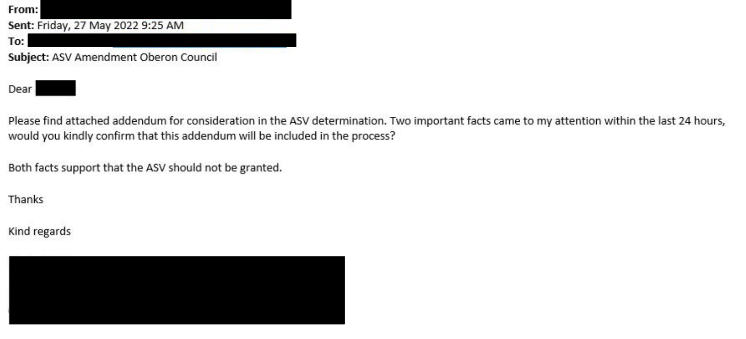



Please find attached addendum for consideration in the ASV determination. Two important facts came to my attention within the last 24 hours, would you kindly confirm that this addendum will be included in the process?

Both facts support that the ASV should not be granted.

Thanks

Kind regards

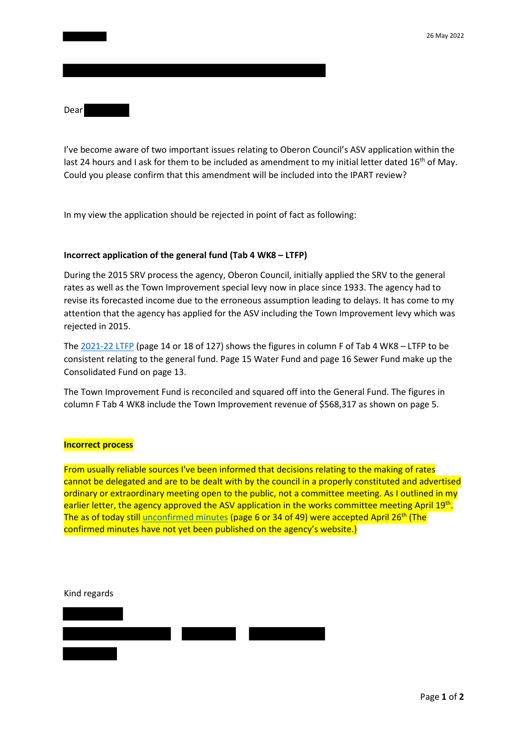Dear

I've become aware of two important issues relating to Oberon Council's ASV application within the last 24 hours and I ask for them to be included as amendment to my initial letter dated  $16<sup>th</sup>$  of May. Could you please confirm that this amendment will be included into the IPART review?

In my view the application should be rejected in point of fact as following:

## **Incorrect application of the general fund (Tab 4 WK8 – LTFP)**

During the 2015 SRV process the agency, Oberon Council, initially applied the SRV to the general rates as well as the Town Improvement special levy now in place since 1933. The agency had to revise its forecasted income due to the erroneous assumption leading to delays. It has come to my attention that the agency has applied for the ASV including the Town Improvement levy which was rejected in 2015.

The [2021-22 LTFP](https://www.oberon.nsw.gov.au/sites/oberon/files/public/210615%20-%20Attachments%20for%20Staff%20Reports%2015%20June%202021%20Ordinary%20Meeting.pdf) (page 14 or 18 of 127) shows the figures in column F of Tab 4 WK8 – LTFP to be consistent relating to the general fund. Page 15 Water Fund and page 16 Sewer Fund make up the Consolidated Fund on page 13.

The Town Improvement Fund is reconciled and squared off into the General Fund. The figures in column F Tab 4 WK8 include the Town Improvement revenue of \$568,317 as shown on page 5.

## **Incorrect process**

From usually reliable sources I've been informed that decisions relating to the making of rates cannot be delegated and are to be dealt with by the council in a properly constituted and advertised ordinary or extraordinary meeting open to the public, not a committee meeting. As I outlined in my earlier letter, the agency approved the ASV application in the works committee meeting April 19th. The as of today still *unconfirmed minutes* (page 6 or 34 of 49) were accepted April 26<sup>th</sup> (The confirmed minutes have not yet been published on the agency's website.)

Kind regards